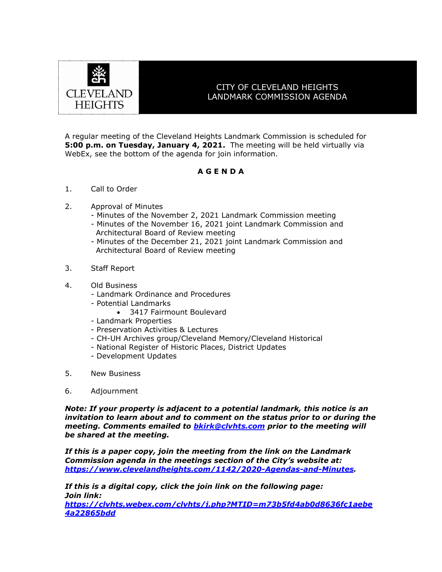

## CITY OF CLEVELAND HEIGHTS LANDMARK COMMISSION AGENDA

A regular meeting of the Cleveland Heights Landmark Commission is scheduled for **5:00 p.m. on Tuesday, January 4, 2021.** The meeting will be held virtually via WebEx, see the bottom of the agenda for join information.

## **A G E N D A**

- 1. Call to Order
- 2. Approval of Minutes
	- Minutes of the November 2, 2021 Landmark Commission meeting
	- Minutes of the November 16, 2021 joint Landmark Commission and Architectural Board of Review meeting
	- Minutes of the December 21, 2021 joint Landmark Commission and Architectural Board of Review meeting
- 3. Staff Report
- 4. Old Business
	- Landmark Ordinance and Procedures
	- Potential Landmarks
		- 3417 Fairmount Boulevard
	- Landmark Properties
	- Preservation Activities & Lectures
	- CH-UH Archives group/Cleveland Memory/Cleveland Historical
	- National Register of Historic Places, District Updates
	- Development Updates
- 5. New Business
- 6. Adjournment

*Note: If your property is adjacent to a potential landmark, this notice is an invitation to learn about and to comment on the status prior to or during the meeting. Comments emailed to [bkirk@clvhts.com](mailto:bkirk@clvhts.com) prior to the meeting will be shared at the meeting.*

*If this is a paper copy, join the meeting from the link on the Landmark Commission agenda in the meetings section of the City's website at: [https://www.clevelandheights.com/1142/2020-Agendas-and-Minutes.](https://www.clevelandheights.com/1142/2020-Agendas-and-Minutes)*

*If this is a digital copy, click the join link on the following page: Join link: [https://clvhts.webex.com/clvhts/j.php?MTID=m73b5fd4ab0d8636fc1aebe](https://clvhts.webex.com/clvhts/j.php?MTID=m73b5fd4ab0d8636fc1aebe4a22865bdd) [4a22865bdd](https://clvhts.webex.com/clvhts/j.php?MTID=m73b5fd4ab0d8636fc1aebe4a22865bdd)*